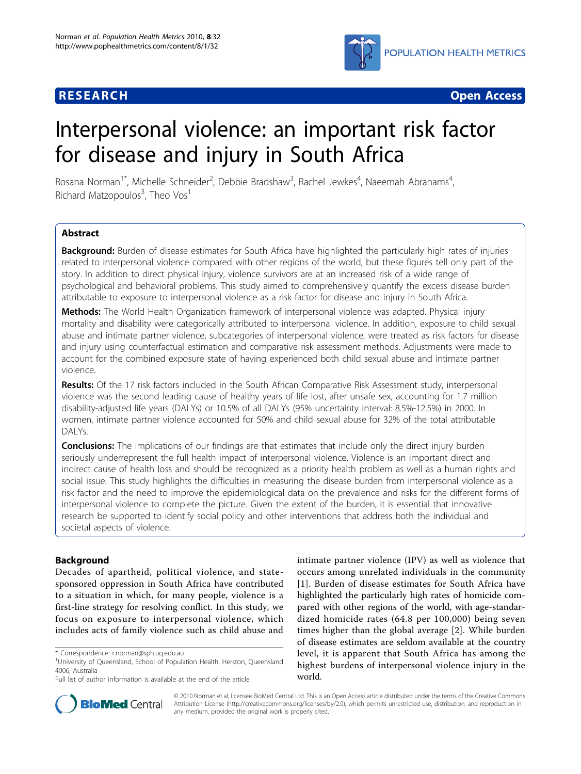# **RESEARCH Open Access**



# Interpersonal violence: an important risk factor for disease and injury in South Africa

Rosana Norman<sup>1\*</sup>, Michelle Schneider<sup>2</sup>, Debbie Bradshaw<sup>3</sup>, Rachel Jewkes<sup>4</sup>, Naeemah Abrahams<sup>4</sup> , Richard Matzopoulos<sup>3</sup>, Theo Vos<sup>1</sup>

# Abstract

Background: Burden of disease estimates for South Africa have highlighted the particularly high rates of injuries related to interpersonal violence compared with other regions of the world, but these figures tell only part of the story. In addition to direct physical injury, violence survivors are at an increased risk of a wide range of psychological and behavioral problems. This study aimed to comprehensively quantify the excess disease burden attributable to exposure to interpersonal violence as a risk factor for disease and injury in South Africa.

Methods: The World Health Organization framework of interpersonal violence was adapted. Physical injury mortality and disability were categorically attributed to interpersonal violence. In addition, exposure to child sexual abuse and intimate partner violence, subcategories of interpersonal violence, were treated as risk factors for disease and injury using counterfactual estimation and comparative risk assessment methods. Adjustments were made to account for the combined exposure state of having experienced both child sexual abuse and intimate partner violence.

Results: Of the 17 risk factors included in the South African Comparative Risk Assessment study, interpersonal violence was the second leading cause of healthy years of life lost, after unsafe sex, accounting for 1.7 million disability-adjusted life years (DALYs) or 10.5% of all DALYs (95% uncertainty interval: 8.5%-12.5%) in 2000. In women, intimate partner violence accounted for 50% and child sexual abuse for 32% of the total attributable DALYs.

**Conclusions:** The implications of our findings are that estimates that include only the direct injury burden seriously underrepresent the full health impact of interpersonal violence. Violence is an important direct and indirect cause of health loss and should be recognized as a priority health problem as well as a human rights and social issue. This study highlights the difficulties in measuring the disease burden from interpersonal violence as a risk factor and the need to improve the epidemiological data on the prevalence and risks for the different forms of interpersonal violence to complete the picture. Given the extent of the burden, it is essential that innovative research be supported to identify social policy and other interventions that address both the individual and societal aspects of violence.

# Background

Decades of apartheid, political violence, and statesponsored oppression in South Africa have contributed to a situation in which, for many people, violence is a first-line strategy for resolving conflict. In this study, we focus on exposure to interpersonal violence, which includes acts of family violence such as child abuse and

Full list of author information is available at the end of the article





© 2010 Norman et al; licensee BioMed Central Ltd. This is an Open Access article distributed under the terms of the Creative Commons Attribution License [\(http://creativecommons.org/licenses/by/2.0](http://creativecommons.org/licenses/by/2.0)), which permits unrestricted use, distribution, and reproduction in any medium, provided the original work is properly cited.

<sup>\*</sup> Correspondence: [r.norman@sph.uq.edu.au](mailto:r.norman@sph.uq.edu.au)

<sup>&</sup>lt;sup>1</sup> University of Queensland, School of Population Health, Herston, Queensland 4006, Australia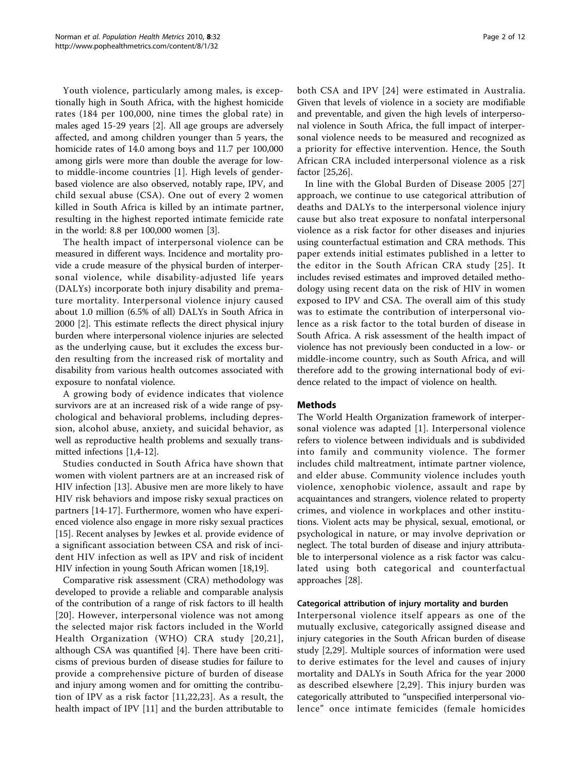Youth violence, particularly among males, is exceptionally high in South Africa, with the highest homicide rates (184 per 100,000, nine times the global rate) in males aged 15-29 years [[2\]](#page-10-0). All age groups are adversely affected, and among children younger than 5 years, the homicide rates of 14.0 among boys and 11.7 per 100,000 among girls were more than double the average for lowto middle-income countries [[1\]](#page-10-0). High levels of genderbased violence are also observed, notably rape, IPV, and child sexual abuse (CSA). One out of every 2 women killed in South Africa is killed by an intimate partner, resulting in the highest reported intimate femicide rate in the world: 8.8 per 100,000 women [\[3\]](#page-10-0).

The health impact of interpersonal violence can be measured in different ways. Incidence and mortality provide a crude measure of the physical burden of interpersonal violence, while disability-adjusted life years (DALYs) incorporate both injury disability and premature mortality. Interpersonal violence injury caused about 1.0 million (6.5% of all) DALYs in South Africa in 2000 [[2\]](#page-10-0). This estimate reflects the direct physical injury burden where interpersonal violence injuries are selected as the underlying cause, but it excludes the excess burden resulting from the increased risk of mortality and disability from various health outcomes associated with exposure to nonfatal violence.

A growing body of evidence indicates that violence survivors are at an increased risk of a wide range of psychological and behavioral problems, including depression, alcohol abuse, anxiety, and suicidal behavior, as well as reproductive health problems and sexually transmitted infections [\[1,4](#page-10-0)-[12\]](#page-10-0).

Studies conducted in South Africa have shown that women with violent partners are at an increased risk of HIV infection [[13](#page-10-0)]. Abusive men are more likely to have HIV risk behaviors and impose risky sexual practices on partners [[14-17\]](#page-10-0). Furthermore, women who have experienced violence also engage in more risky sexual practices [[15\]](#page-10-0). Recent analyses by Jewkes et al. provide evidence of a significant association between CSA and risk of incident HIV infection as well as IPV and risk of incident HIV infection in young South African women [[18](#page-10-0),[19](#page-10-0)].

Comparative risk assessment (CRA) methodology was developed to provide a reliable and comparable analysis of the contribution of a range of risk factors to ill health [[20](#page-10-0)]. However, interpersonal violence was not among the selected major risk factors included in the World Health Organization (WHO) CRA study [[20](#page-10-0),[21\]](#page-10-0), although CSA was quantified [\[4](#page-10-0)]. There have been criticisms of previous burden of disease studies for failure to provide a comprehensive picture of burden of disease and injury among women and for omitting the contribution of IPV as a risk factor [[11](#page-10-0),[22,23](#page-10-0)]. As a result, the health impact of IPV [\[11](#page-10-0)] and the burden attributable to both CSA and IPV [[24](#page-10-0)] were estimated in Australia. Given that levels of violence in a society are modifiable and preventable, and given the high levels of interpersonal violence in South Africa, the full impact of interpersonal violence needs to be measured and recognized as a priority for effective intervention. Hence, the South African CRA included interpersonal violence as a risk factor [[25](#page-10-0),[26](#page-10-0)].

In line with the Global Burden of Disease 2005 [[27](#page-10-0)] approach, we continue to use categorical attribution of deaths and DALYs to the interpersonal violence injury cause but also treat exposure to nonfatal interpersonal violence as a risk factor for other diseases and injuries using counterfactual estimation and CRA methods. This paper extends initial estimates published in a letter to the editor in the South African CRA study [[25](#page-10-0)]. It includes revised estimates and improved detailed methodology using recent data on the risk of HIV in women exposed to IPV and CSA. The overall aim of this study was to estimate the contribution of interpersonal violence as a risk factor to the total burden of disease in South Africa. A risk assessment of the health impact of violence has not previously been conducted in a low- or middle-income country, such as South Africa, and will therefore add to the growing international body of evidence related to the impact of violence on health.

## Methods

The World Health Organization framework of interpersonal violence was adapted [[1\]](#page-10-0). Interpersonal violence refers to violence between individuals and is subdivided into family and community violence. The former includes child maltreatment, intimate partner violence, and elder abuse. Community violence includes youth violence, xenophobic violence, assault and rape by acquaintances and strangers, violence related to property crimes, and violence in workplaces and other institutions. Violent acts may be physical, sexual, emotional, or psychological in nature, or may involve deprivation or neglect. The total burden of disease and injury attributable to interpersonal violence as a risk factor was calculated using both categorical and counterfactual approaches [[28\]](#page-10-0).

## Categorical attribution of injury mortality and burden

Interpersonal violence itself appears as one of the mutually exclusive, categorically assigned disease and injury categories in the South African burden of disease study [[2,29\]](#page-10-0). Multiple sources of information were used to derive estimates for the level and causes of injury mortality and DALYs in South Africa for the year 2000 as described elsewhere [[2](#page-10-0),[29](#page-10-0)]. This injury burden was categorically attributed to "unspecified interpersonal violence" once intimate femicides (female homicides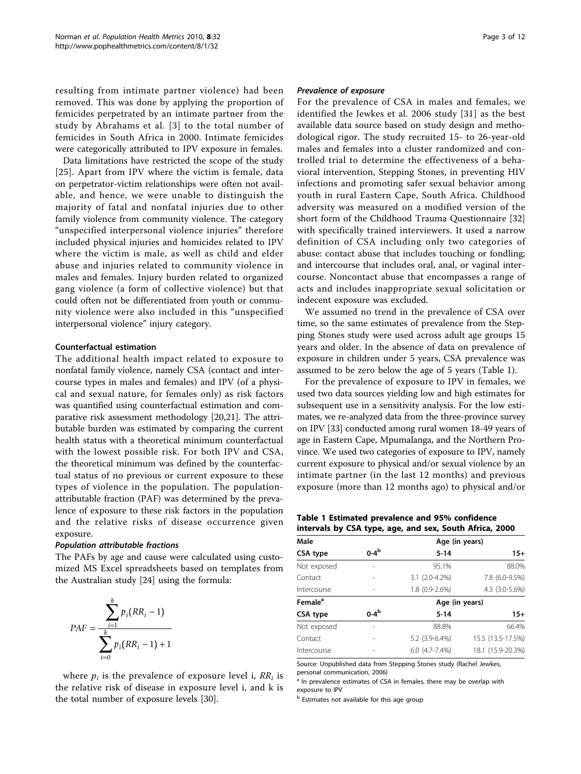<span id="page-2-0"></span>resulting from intimate partner violence) had been removed. This was done by applying the proportion of femicides perpetrated by an intimate partner from the study by Abrahams et al. [[3\]](#page-10-0) to the total number of femicides in South Africa in 2000. Intimate femicides were categorically attributed to IPV exposure in females.

Data limitations have restricted the scope of the study [[25](#page-10-0)]. Apart from IPV where the victim is female, data on perpetrator-victim relationships were often not available, and hence, we were unable to distinguish the majority of fatal and nonfatal injuries due to other family violence from community violence. The category "unspecified interpersonal violence injuries" therefore included physical injuries and homicides related to IPV where the victim is male, as well as child and elder abuse and injuries related to community violence in males and females. Injury burden related to organized gang violence (a form of collective violence) but that could often not be differentiated from youth or community violence were also included in this "unspecified interpersonal violence" injury category.

# Counterfactual estimation

The additional health impact related to exposure to nonfatal family violence, namely CSA (contact and intercourse types in males and females) and IPV (of a physical and sexual nature, for females only) as risk factors was quantified using counterfactual estimation and comparative risk assessment methodology [[20](#page-10-0),[21\]](#page-10-0). The attributable burden was estimated by comparing the current health status with a theoretical minimum counterfactual with the lowest possible risk. For both IPV and CSA, the theoretical minimum was defined by the counterfactual status of no previous or current exposure to these types of violence in the population. The populationattributable fraction (PAF) was determined by the prevalence of exposure to these risk factors in the population and the relative risks of disease occurrence given exposure.

## Population attributable fractions

The PAFs by age and cause were calculated using customized MS Excel spreadsheets based on templates from the Australian study [\[24\]](#page-10-0) using the formula:

$$
PAF = \frac{\sum_{i=1}^{k} p_i (RR_i - 1)}{\sum_{i=0}^{k} p_i (RR_i - 1) + 1}
$$

where  $p_i$  is the prevalence of exposure level i,  $RR_i$  is the relative risk of disease in exposure level i, and k is the total number of exposure levels [[30\]](#page-10-0).

#### Prevalence of exposure

For the prevalence of CSA in males and females, we identified the Jewkes et al. 2006 study [[31\]](#page-10-0) as the best available data source based on study design and methodological rigor. The study recruited 15- to 26-year-old males and females into a cluster randomized and controlled trial to determine the effectiveness of a behavioral intervention, Stepping Stones, in preventing HIV infections and promoting safer sexual behavior among youth in rural Eastern Cape, South Africa. Childhood adversity was measured on a modified version of the short form of the Childhood Trauma Questionnaire [[32](#page-11-0)] with specifically trained interviewers. It used a narrow definition of CSA including only two categories of abuse: contact abuse that includes touching or fondling; and intercourse that includes oral, anal, or vaginal intercourse. Noncontact abuse that encompasses a range of acts and includes inappropriate sexual solicitation or indecent exposure was excluded.

We assumed no trend in the prevalence of CSA over time, so the same estimates of prevalence from the Stepping Stones study were used across adult age groups 15 years and older. In the absence of data on prevalence of exposure in children under 5 years, CSA prevalence was assumed to be zero below the age of 5 years (Table 1).

For the prevalence of exposure to IPV in females, we used two data sources yielding low and high estimates for subsequent use in a sensitivity analysis. For the low estimates, we re-analyzed data from the three-province survey on IPV [[33](#page-11-0)] conducted among rural women 18-49 years of age in Eastern Cape, Mpumalanga, and the Northern Province. We used two categories of exposure to IPV, namely current exposure to physical and/or sexual violence by an intimate partner (in the last 12 months) and previous exposure (more than 12 months ago) to physical and/or

Table 1 Estimated prevalence and 95% confidence intervals by CSA type, age, and sex, South Africa, 2000

| Male                |           | Age (in years)      |                   |  |  |
|---------------------|-----------|---------------------|-------------------|--|--|
| CSA type            | $0 - 4^b$ | $5 - 14$            | $15+$             |  |  |
| Not exposed         |           | 95.1%               | 88.0%             |  |  |
| Contact             |           | $3.1(2.0-4.2\%)$    | 7.8 (6.0-9.5%)    |  |  |
| Intercourse         |           | 1.8 (0.9-2.6%)      | 4.3 (3.0-5.6%)    |  |  |
| Female <sup>a</sup> |           | Age (in years)      |                   |  |  |
| CSA type            | $0 - 4^b$ | $5 - 14$            | $15+$             |  |  |
| Not exposed         |           | 88.8%               | 66.4%             |  |  |
| Contact             |           | $5.2$ $(3.9-6.4\%)$ | 15.5 (13.5-17.5%) |  |  |
| Intercourse         |           | $6.0(4.7 - 7.4%)$   | 18.1 (15.9-20.3%) |  |  |

Source: Unpublished data from Stepping Stones study (Rachel Jewkes, personal communication, 2006)

<sup>a</sup> In prevalence estimates of CSA in females, there may be overlap with exposure to IPV

b Estimates not available for this age group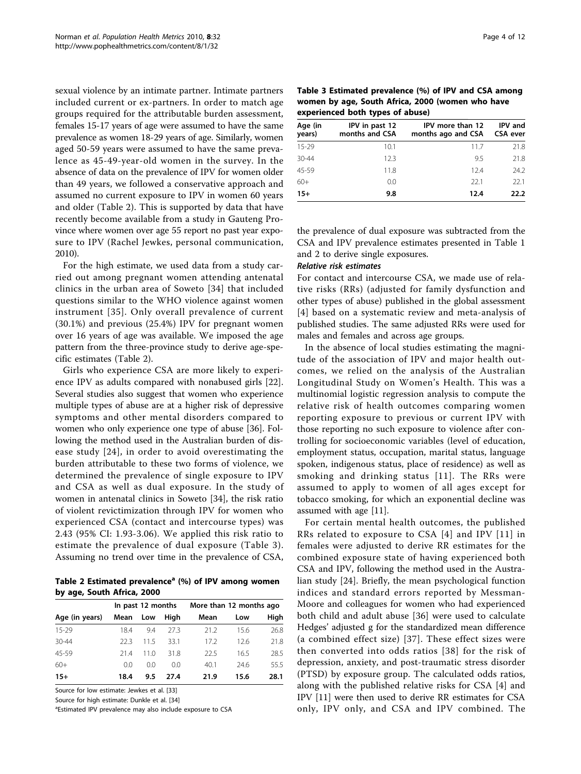<span id="page-3-0"></span>sexual violence by an intimate partner. Intimate partners included current or ex-partners. In order to match age groups required for the attributable burden assessment, females 15-17 years of age were assumed to have the same prevalence as women 18-29 years of age. Similarly, women aged 50-59 years were assumed to have the same prevalence as 45-49-year-old women in the survey. In the absence of data on the prevalence of IPV for women older than 49 years, we followed a conservative approach and assumed no current exposure to IPV in women 60 years and older (Table 2). This is supported by data that have recently become available from a study in Gauteng Province where women over age 55 report no past year exposure to IPV (Rachel Jewkes, personal communication, 2010).

For the high estimate, we used data from a study carried out among pregnant women attending antenatal clinics in the urban area of Soweto [\[34](#page-11-0)] that included questions similar to the WHO violence against women instrument [[35](#page-11-0)]. Only overall prevalence of current (30.1%) and previous (25.4%) IPV for pregnant women over 16 years of age was available. We imposed the age pattern from the three-province study to derive age-specific estimates (Table 2).

Girls who experience CSA are more likely to experience IPV as adults compared with nonabused girls [\[22](#page-10-0)]. Several studies also suggest that women who experience multiple types of abuse are at a higher risk of depressive symptoms and other mental disorders compared to women who only experience one type of abuse [\[36\]](#page-11-0). Following the method used in the Australian burden of disease study [[24\]](#page-10-0), in order to avoid overestimating the burden attributable to these two forms of violence, we determined the prevalence of single exposure to IPV and CSA as well as dual exposure. In the study of women in antenatal clinics in Soweto [[34](#page-11-0)], the risk ratio of violent revictimization through IPV for women who experienced CSA (contact and intercourse types) was 2.43 (95% CI: 1.93-3.06). We applied this risk ratio to estimate the prevalence of dual exposure (Table 3). Assuming no trend over time in the prevalence of CSA,

Table 2 Estimated prevalence<sup>a</sup> (%) of IPV among women by age, South Africa, 2000

|                | In past 12 months |      |      | More than 12 months ago |      |      |  |
|----------------|-------------------|------|------|-------------------------|------|------|--|
| Age (in years) | Mean Low          |      | High | Mean                    | Low  | High |  |
| $15 - 29$      | 18.4              | 94   | 27.3 | 21.2                    | 15.6 | 26.8 |  |
| $30 - 44$      | 22 3              | 11.5 | 33.1 | 17.2                    | 12.6 | 21.8 |  |
| 45-59          | 214               | 11.0 | 31.8 | 22.5                    | 16.5 | 28.5 |  |
| $60+$          | 0.0               | 0.0  | 0.0  | 40.1                    | 24.6 | 55.5 |  |
| $15+$          | 18.4              | 9.5  | 27.4 | 21.9                    | 15.6 | 28.1 |  |

Source for low estimate: Jewkes et al. [[33\]](#page-11-0)

Source for high estimate: Dunkle et al. [\[34](#page-11-0)]

<sup>a</sup>Estimated IPV prevalence may also include exposure to CSA

Table 3 Estimated prevalence (%) of IPV and CSA among women by age, South Africa, 2000 (women who have experienced both types of abuse)

| Age (in<br>years) | IPV in past 12<br>months and CSA | IPV more than 12<br>months ago and CSA | <b>IPV</b> and<br><b>CSA</b> ever |
|-------------------|----------------------------------|----------------------------------------|-----------------------------------|
| $15 - 29$         | 10.1                             | 11.7                                   | 21.8                              |
| 30-44             | 12.3                             | 9.5                                    | 21.8                              |
| 45-59             | 11.8                             | 12.4                                   | 24.2                              |
| $60+$             | 0.0                              | 22.1                                   | 22.1                              |
| $15+$             | 9.8                              | 12.4                                   | 22.2                              |

the prevalence of dual exposure was subtracted from the CSA and IPV prevalence estimates presented in Table [1](#page-2-0) and 2 to derive single exposures.

#### Relative risk estimates

For contact and intercourse CSA, we made use of relative risks (RRs) (adjusted for family dysfunction and other types of abuse) published in the global assessment [[4](#page-10-0)] based on a systematic review and meta-analysis of published studies. The same adjusted RRs were used for males and females and across age groups.

In the absence of local studies estimating the magnitude of the association of IPV and major health outcomes, we relied on the analysis of the Australian Longitudinal Study on Women's Health. This was a multinomial logistic regression analysis to compute the relative risk of health outcomes comparing women reporting exposure to previous or current IPV with those reporting no such exposure to violence after controlling for socioeconomic variables (level of education, employment status, occupation, marital status, language spoken, indigenous status, place of residence) as well as smoking and drinking status [[11](#page-10-0)]. The RRs were assumed to apply to women of all ages except for tobacco smoking, for which an exponential decline was assumed with age [[11\]](#page-10-0).

For certain mental health outcomes, the published RRs related to exposure to CSA [[4](#page-10-0)] and IPV [[11\]](#page-10-0) in females were adjusted to derive RR estimates for the combined exposure state of having experienced both CSA and IPV, following the method used in the Australian study [[24\]](#page-10-0). Briefly, the mean psychological function indices and standard errors reported by Messman-Moore and colleagues for women who had experienced both child and adult abuse [\[36\]](#page-11-0) were used to calculate Hedges' adjusted g for the standardized mean difference (a combined effect size) [\[37\]](#page-11-0). These effect sizes were then converted into odds ratios [[38](#page-11-0)] for the risk of depression, anxiety, and post-traumatic stress disorder (PTSD) by exposure group. The calculated odds ratios, along with the published relative risks for CSA [[4\]](#page-10-0) and IPV [[11](#page-10-0)] were then used to derive RR estimates for CSA only, IPV only, and CSA and IPV combined. The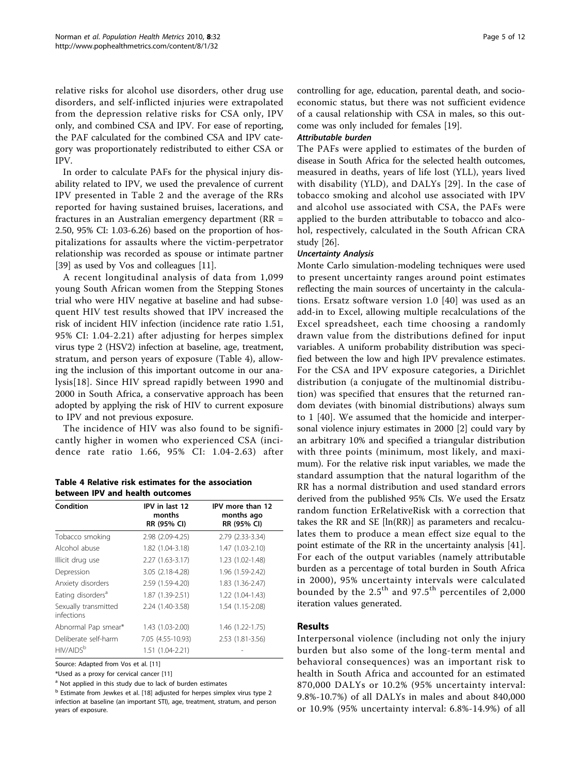relative risks for alcohol use disorders, other drug use disorders, and self-inflicted injuries were extrapolated from the depression relative risks for CSA only, IPV only, and combined CSA and IPV. For ease of reporting, the PAF calculated for the combined CSA and IPV category was proportionately redistributed to either CSA or IPV.

In order to calculate PAFs for the physical injury disability related to IPV, we used the prevalence of current IPV presented in Table [2](#page-3-0) and the average of the RRs reported for having sustained bruises, lacerations, and fractures in an Australian emergency department (RR = 2.50, 95% CI: 1.03-6.26) based on the proportion of hospitalizations for assaults where the victim-perpetrator relationship was recorded as spouse or intimate partner [[39\]](#page-11-0) as used by Vos and colleagues [[11\]](#page-10-0).

A recent longitudinal analysis of data from 1,099 young South African women from the Stepping Stones trial who were HIV negative at baseline and had subsequent HIV test results showed that IPV increased the risk of incident HIV infection (incidence rate ratio 1.51, 95% CI: 1.04-2.21) after adjusting for herpes simplex virus type 2 (HSV2) infection at baseline, age, treatment, stratum, and person years of exposure (Table 4), allowing the inclusion of this important outcome in our analysis[\[18\]](#page-10-0). Since HIV spread rapidly between 1990 and 2000 in South Africa, a conservative approach has been adopted by applying the risk of HIV to current exposure to IPV and not previous exposure.

The incidence of HIV was also found to be significantly higher in women who experienced CSA (incidence rate ratio 1.66, 95% CI: 1.04-2.63) after

Table 4 Relative risk estimates for the association between IPV and health outcomes

| Condition                          | IPV in last 12<br>months<br>RR (95% CI) | IPV more than 12<br>months ago<br>RR (95% CI) |  |  |
|------------------------------------|-----------------------------------------|-----------------------------------------------|--|--|
| Tobacco smoking                    | 2.98 (2.09-4.25)                        | 2.79 (2.33-3.34)                              |  |  |
| Alcohol abuse                      | 1.82 (1.04-3.18)                        | 1.47 (1.03-2.10)                              |  |  |
| Illicit drug use                   | 2.27 (1.63-3.17)                        | 1.23 (1.02-1.48)                              |  |  |
| Depression                         | 3.05 (2.18-4.28)                        | 1.96 (1.59-2.42)                              |  |  |
| Anxiety disorders                  | 2.59 (1.59-4.20)                        | 1.83 (1.36-2.47)                              |  |  |
| Eating disorders <sup>a</sup>      | 1.87 (1.39-2.51)                        | 1.22 (1.04-1.43)                              |  |  |
| Sexually transmitted<br>infections | 2.24 (1.40-3.58)                        | 1.54 (1.15-2.08)                              |  |  |
| Abnormal Pap smear*                | 1.43 (1.03-2.00)                        | 1.46 (1.22-1.75)                              |  |  |
| Deliberate self-harm               | 7.05 (4.55-10.93)                       | 2.53 (1.81-3.56)                              |  |  |
| HIV/AIDS <sup>b</sup>              | 1.51 (1.04-2.21)                        |                                               |  |  |

Source: Adapted from Vos et al. [[11\]](#page-10-0)

\*Used as a proxy for cervical cancer [[11\]](#page-10-0)

<sup>a</sup> Not applied in this study due to lack of burden estimates

<sup>b</sup> Estimate from Jewkes et al. [\[18](#page-10-0)] adjusted for herpes simplex virus type 2 infection at baseline (an important STI), age, treatment, stratum, and person years of exposure.

controlling for age, education, parental death, and socioeconomic status, but there was not sufficient evidence of a causal relationship with CSA in males, so this outcome was only included for females [[19](#page-10-0)].

# Attributable burden

The PAFs were applied to estimates of the burden of disease in South Africa for the selected health outcomes, measured in deaths, years of life lost (YLL), years lived with disability (YLD), and DALYs [[29](#page-10-0)]. In the case of tobacco smoking and alcohol use associated with IPV and alcohol use associated with CSA, the PAFs were applied to the burden attributable to tobacco and alcohol, respectively, calculated in the South African CRA study [[26\]](#page-10-0).

## Uncertainty Analysis

Monte Carlo simulation-modeling techniques were used to present uncertainty ranges around point estimates reflecting the main sources of uncertainty in the calculations. Ersatz software version 1.0 [\[40\]](#page-11-0) was used as an add-in to Excel, allowing multiple recalculations of the Excel spreadsheet, each time choosing a randomly drawn value from the distributions defined for input variables. A uniform probability distribution was specified between the low and high IPV prevalence estimates. For the CSA and IPV exposure categories, a Dirichlet distribution (a conjugate of the multinomial distribution) was specified that ensures that the returned random deviates (with binomial distributions) always sum to 1 [\[40](#page-11-0)]. We assumed that the homicide and interpersonal violence injury estimates in 2000 [[2](#page-10-0)] could vary by an arbitrary 10% and specified a triangular distribution with three points (minimum, most likely, and maximum). For the relative risk input variables, we made the standard assumption that the natural logarithm of the RR has a normal distribution and used standard errors derived from the published 95% CIs. We used the Ersatz random function ErRelativeRisk with a correction that takes the RR and SE  $[ln(RR)]$  as parameters and recalculates them to produce a mean effect size equal to the point estimate of the RR in the uncertainty analysis [[41](#page-11-0)]. For each of the output variables (namely attributable burden as a percentage of total burden in South Africa in 2000), 95% uncertainty intervals were calculated bounded by the  $2.5<sup>th</sup>$  and  $97.5<sup>th</sup>$  percentiles of 2,000 iteration values generated.

## Results

Interpersonal violence (including not only the injury burden but also some of the long-term mental and behavioral consequences) was an important risk to health in South Africa and accounted for an estimated 870,000 DALYs or 10.2% (95% uncertainty interval: 9.8%-10.7%) of all DALYs in males and about 840,000 or 10.9% (95% uncertainty interval: 6.8%-14.9%) of all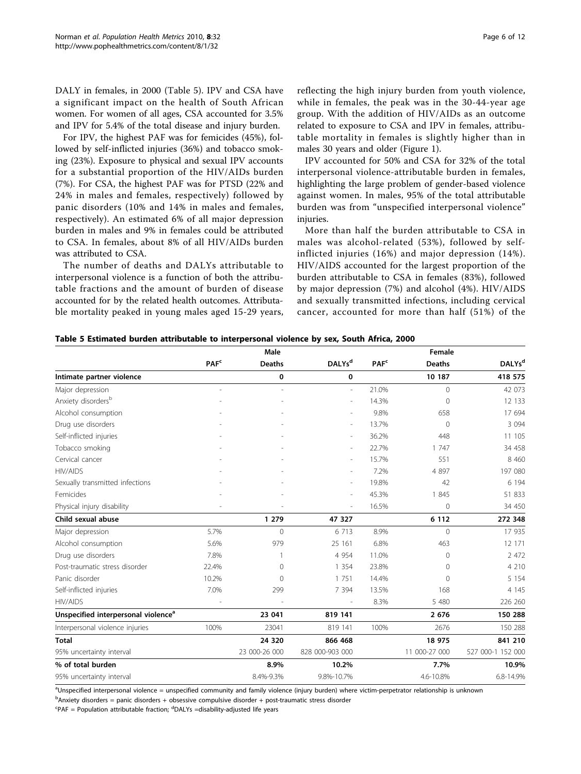DALY in females, in 2000 (Table 5). IPV and CSA have a significant impact on the health of South African women. For women of all ages, CSA accounted for 3.5% and IPV for 5.4% of the total disease and injury burden.

For IPV, the highest PAF was for femicides (45%), followed by self-inflicted injuries (36%) and tobacco smoking (23%). Exposure to physical and sexual IPV accounts for a substantial proportion of the HIV/AIDs burden (7%). For CSA, the highest PAF was for PTSD (22% and 24% in males and females, respectively) followed by panic disorders (10% and 14% in males and females, respectively). An estimated 6% of all major depression burden in males and 9% in females could be attributed to CSA. In females, about 8% of all HIV/AIDs burden was attributed to CSA.

The number of deaths and DALYs attributable to interpersonal violence is a function of both the attributable fractions and the amount of burden of disease accounted for by the related health outcomes. Attributable mortality peaked in young males aged 15-29 years, reflecting the high injury burden from youth violence, while in females, the peak was in the 30-44-year age group. With the addition of HIV/AIDs as an outcome related to exposure to CSA and IPV in females, attributable mortality in females is slightly higher than in males 30 years and older (Figure [1](#page-6-0)).

IPV accounted for 50% and CSA for 32% of the total interpersonal violence-attributable burden in females, highlighting the large problem of gender-based violence against women. In males, 95% of the total attributable burden was from "unspecified interpersonal violence" injuries.

More than half the burden attributable to CSA in males was alcohol-related (53%), followed by selfinflicted injuries (16%) and major depression (14%). HIV/AIDS accounted for the largest proportion of the burden attributable to CSA in females (83%), followed by major depression (7%) and alcohol (4%). HIV/AIDS and sexually transmitted infections, including cervical cancer, accounted for more than half (51%) of the

|                                                 |                        | Male          |                          |                        | Female        |                   |
|-------------------------------------------------|------------------------|---------------|--------------------------|------------------------|---------------|-------------------|
|                                                 | <b>PAF<sup>c</sup></b> | <b>Deaths</b> | <b>DALYsd</b>            | <b>PAF<sup>c</sup></b> | <b>Deaths</b> | <b>DALYsd</b>     |
| Intimate partner violence                       |                        | 0             | 0                        |                        | 10 187        | 418 575           |
| Major depression                                |                        | ÷,            | $\overline{\phantom{a}}$ | 21.0%                  | $\mathbf{0}$  | 42 073            |
| Anxiety disorders <sup>b</sup>                  |                        |               |                          | 14.3%                  | $\mathbf{0}$  | 12 133            |
| Alcohol consumption                             |                        |               |                          | 9.8%                   | 658           | 17 694            |
| Drug use disorders                              |                        |               |                          | 13.7%                  | $\Omega$      | 3 0 9 4           |
| Self-inflicted injuries                         |                        |               |                          | 36.2%                  | 448           | 11 105            |
| Tobacco smoking                                 |                        |               |                          | 22.7%                  | 1 747         | 34 458            |
| Cervical cancer                                 |                        |               |                          | 15.7%                  | 551           | 8 4 6 0           |
| <b>HIV/AIDS</b>                                 |                        |               |                          | 7.2%                   | 4 8 9 7       | 197 080           |
| Sexually transmitted infections                 |                        |               |                          | 19.8%                  | 42            | 6 1 9 4           |
| Femicides                                       |                        |               |                          | 45.3%                  | 1 845         | 51 833            |
| Physical injury disability                      |                        |               |                          | 16.5%                  | $\mathbf{0}$  | 34 450            |
| Child sexual abuse                              |                        | 1 279         | 47 327                   |                        | 6 1 1 2       | 272 348           |
| Major depression                                | 5.7%                   | $\Omega$      | 6 7 1 3                  | 8.9%                   | $\mathbf{0}$  | 17 935            |
| Alcohol consumption                             | 5.6%                   | 979           | 25 161                   | 6.8%                   | 463           | 12 171            |
| Drug use disorders                              | 7.8%                   |               | 4 9 5 4                  | 11.0%                  | $\mathbf{0}$  | 2 472             |
| Post-traumatic stress disorder                  | 22.4%                  | 0             | 1 3 5 4                  | 23.8%                  | 0             | 4 2 1 0           |
| Panic disorder                                  | 10.2%                  | $\Omega$      | 1 751                    | 14.4%                  | $\Omega$      | 5 1 5 4           |
| Self-inflicted injuries                         | 7.0%                   | 299           | 7 3 9 4                  | 13.5%                  | 168           | 4 1 4 5           |
| <b>HIV/AIDS</b>                                 |                        |               |                          | 8.3%                   | 5 4 8 0       | 226 260           |
| Unspecified interpersonal violence <sup>a</sup> |                        | 23 041        | 819 141                  |                        | 2 676         | 150 288           |
| Interpersonal violence injuries                 | 100%                   | 23041         | 819 141                  | 100%                   | 2676          | 150 288           |
| <b>Total</b>                                    |                        | 24 3 20       | 866 468                  |                        | 18 975        | 841 210           |
| 95% uncertainty interval                        |                        | 23 000-26 000 | 828 000-903 000          |                        | 11 000-27 000 | 527 000-1 152 000 |
| % of total burden                               |                        | 8.9%          | 10.2%                    |                        | 7.7%          | 10.9%             |
| 95% uncertainty interval                        |                        | 8.4%-9.3%     | 9.8%-10.7%               |                        | 4.6-10.8%     | 6.8-14.9%         |

<sup>a</sup>Unspecified interpersonal violence = unspecified community and family violence (injury burden) where victim-perpetrator relationship is unknown

<sup>b</sup>Anxiety disorders = panic disorders + obsessive compulsive disorder + post-traumatic stress disorder

<sup>c</sup>PAF = Population attributable fraction; <sup>d</sup>DALYs =disability-adjusted life years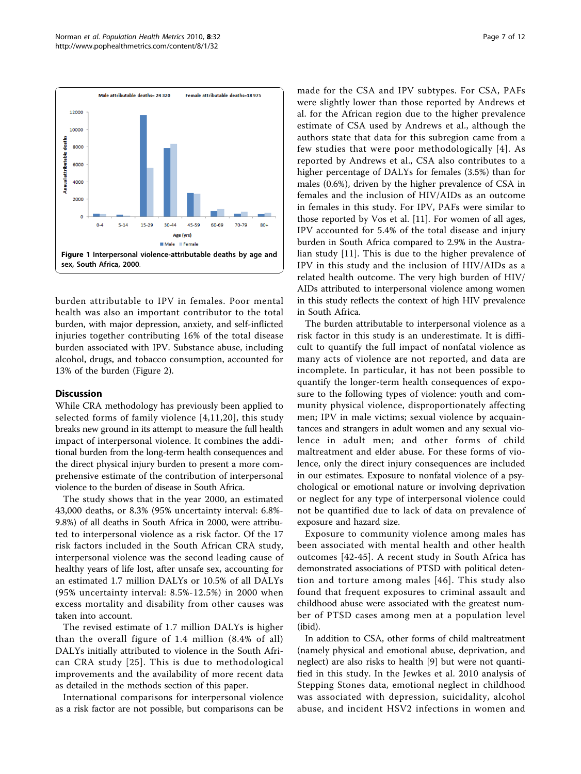<span id="page-6-0"></span>

burden attributable to IPV in females. Poor mental health was also an important contributor to the total burden, with major depression, anxiety, and self-inflicted injuries together contributing 16% of the total disease burden associated with IPV. Substance abuse, including alcohol, drugs, and tobacco consumption, accounted for 13% of the burden (Figure [2\)](#page-7-0).

## **Discussion**

While CRA methodology has previously been applied to selected forms of family violence [[4,11,20\]](#page-10-0), this study breaks new ground in its attempt to measure the full health impact of interpersonal violence. It combines the additional burden from the long-term health consequences and the direct physical injury burden to present a more comprehensive estimate of the contribution of interpersonal violence to the burden of disease in South Africa.

The study shows that in the year 2000, an estimated 43,000 deaths, or 8.3% (95% uncertainty interval: 6.8%- 9.8%) of all deaths in South Africa in 2000, were attributed to interpersonal violence as a risk factor. Of the 17 risk factors included in the South African CRA study, interpersonal violence was the second leading cause of healthy years of life lost, after unsafe sex, accounting for an estimated 1.7 million DALYs or 10.5% of all DALYs (95% uncertainty interval: 8.5%-12.5%) in 2000 when excess mortality and disability from other causes was taken into account.

The revised estimate of 1.7 million DALYs is higher than the overall figure of 1.4 million (8.4% of all) DALYs initially attributed to violence in the South African CRA study [[25](#page-10-0)]. This is due to methodological improvements and the availability of more recent data as detailed in the methods section of this paper.

International comparisons for interpersonal violence as a risk factor are not possible, but comparisons can be made for the CSA and IPV subtypes. For CSA, PAFs were slightly lower than those reported by Andrews et al. for the African region due to the higher prevalence estimate of CSA used by Andrews et al., although the authors state that data for this subregion came from a few studies that were poor methodologically [[4\]](#page-10-0). As reported by Andrews et al., CSA also contributes to a higher percentage of DALYs for females (3.5%) than for males (0.6%), driven by the higher prevalence of CSA in females and the inclusion of HIV/AIDs as an outcome in females in this study. For IPV, PAFs were similar to those reported by Vos et al. [\[11\]](#page-10-0). For women of all ages, IPV accounted for 5.4% of the total disease and injury burden in South Africa compared to 2.9% in the Australian study [[11](#page-10-0)]. This is due to the higher prevalence of IPV in this study and the inclusion of HIV/AIDs as a related health outcome. The very high burden of HIV/ AIDs attributed to interpersonal violence among women in this study reflects the context of high HIV prevalence in South Africa.

The burden attributable to interpersonal violence as a risk factor in this study is an underestimate. It is difficult to quantify the full impact of nonfatal violence as many acts of violence are not reported, and data are incomplete. In particular, it has not been possible to quantify the longer-term health consequences of exposure to the following types of violence: youth and community physical violence, disproportionately affecting men; IPV in male victims; sexual violence by acquaintances and strangers in adult women and any sexual violence in adult men; and other forms of child maltreatment and elder abuse. For these forms of violence, only the direct injury consequences are included in our estimates. Exposure to nonfatal violence of a psychological or emotional nature or involving deprivation or neglect for any type of interpersonal violence could not be quantified due to lack of data on prevalence of exposure and hazard size.

Exposure to community violence among males has been associated with mental health and other health outcomes [[42](#page-11-0)-[45](#page-11-0)]. A recent study in South Africa has demonstrated associations of PTSD with political detention and torture among males [[46\]](#page-11-0). This study also found that frequent exposures to criminal assault and childhood abuse were associated with the greatest number of PTSD cases among men at a population level (ibid).

In addition to CSA, other forms of child maltreatment (namely physical and emotional abuse, deprivation, and neglect) are also risks to health [[9\]](#page-10-0) but were not quantified in this study. In the Jewkes et al. 2010 analysis of Stepping Stones data, emotional neglect in childhood was associated with depression, suicidality, alcohol abuse, and incident HSV2 infections in women and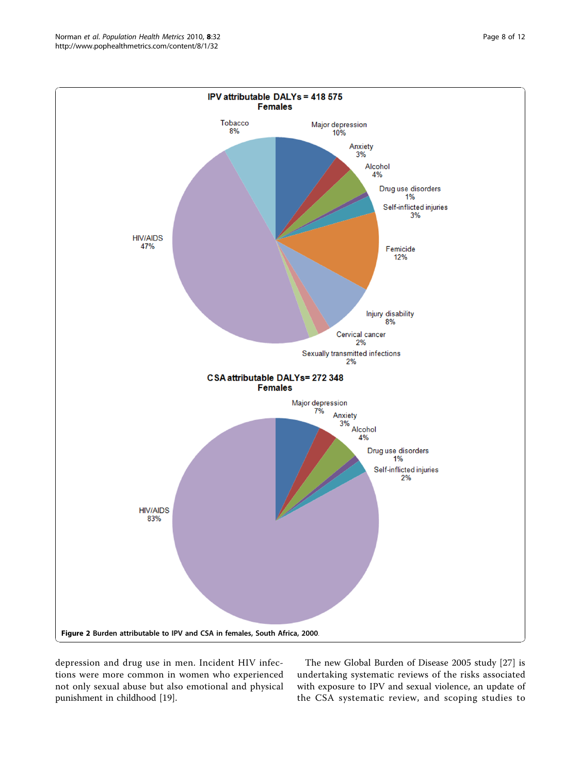<span id="page-7-0"></span>

depression and drug use in men. Incident HIV infections were more common in women who experienced not only sexual abuse but also emotional and physical punishment in childhood [[19](#page-10-0)].

The new Global Burden of Disease 2005 study [[27\]](#page-10-0) is undertaking systematic reviews of the risks associated with exposure to IPV and sexual violence, an update of the CSA systematic review, and scoping studies to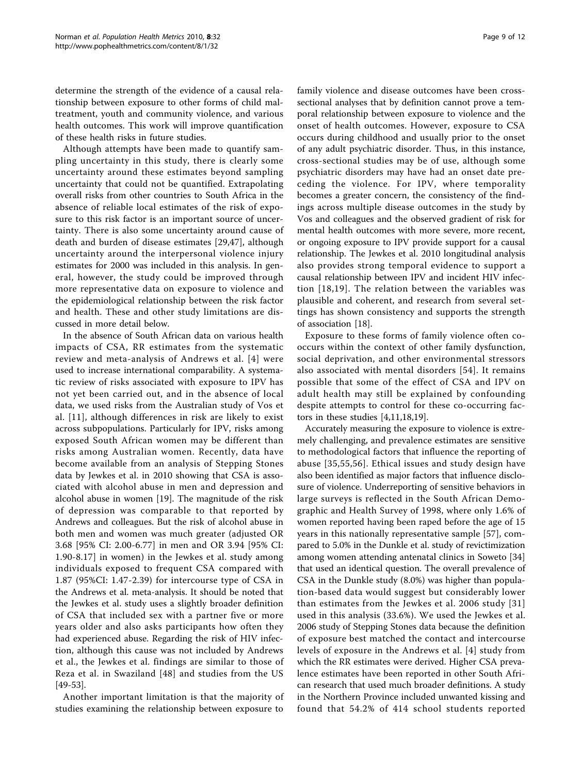determine the strength of the evidence of a causal relationship between exposure to other forms of child maltreatment, youth and community violence, and various health outcomes. This work will improve quantification of these health risks in future studies.

Although attempts have been made to quantify sampling uncertainty in this study, there is clearly some uncertainty around these estimates beyond sampling uncertainty that could not be quantified. Extrapolating overall risks from other countries to South Africa in the absence of reliable local estimates of the risk of exposure to this risk factor is an important source of uncertainty. There is also some uncertainty around cause of death and burden of disease estimates [\[29](#page-10-0)[,47](#page-11-0)], although uncertainty around the interpersonal violence injury estimates for 2000 was included in this analysis. In general, however, the study could be improved through more representative data on exposure to violence and the epidemiological relationship between the risk factor and health. These and other study limitations are discussed in more detail below.

In the absence of South African data on various health impacts of CSA, RR estimates from the systematic review and meta-analysis of Andrews et al. [[4\]](#page-10-0) were used to increase international comparability. A systematic review of risks associated with exposure to IPV has not yet been carried out, and in the absence of local data, we used risks from the Australian study of Vos et al. [\[11\]](#page-10-0), although differences in risk are likely to exist across subpopulations. Particularly for IPV, risks among exposed South African women may be different than risks among Australian women. Recently, data have become available from an analysis of Stepping Stones data by Jewkes et al. in 2010 showing that CSA is associated with alcohol abuse in men and depression and alcohol abuse in women [\[19](#page-10-0)]. The magnitude of the risk of depression was comparable to that reported by Andrews and colleagues. But the risk of alcohol abuse in both men and women was much greater (adjusted OR 3.68 [95% CI: 2.00-6.77] in men and OR 3.94 [95% CI: 1.90-8.17] in women) in the Jewkes et al. study among individuals exposed to frequent CSA compared with 1.87 (95%CI: 1.47-2.39) for intercourse type of CSA in the Andrews et al. meta-analysis. It should be noted that the Jewkes et al. study uses a slightly broader definition of CSA that included sex with a partner five or more years older and also asks participants how often they had experienced abuse. Regarding the risk of HIV infection, although this cause was not included by Andrews et al., the Jewkes et al. findings are similar to those of Reza et al. in Swaziland [[48](#page-11-0)] and studies from the US [[49-53\]](#page-11-0).

Another important limitation is that the majority of studies examining the relationship between exposure to family violence and disease outcomes have been crosssectional analyses that by definition cannot prove a temporal relationship between exposure to violence and the onset of health outcomes. However, exposure to CSA occurs during childhood and usually prior to the onset of any adult psychiatric disorder. Thus, in this instance, cross-sectional studies may be of use, although some psychiatric disorders may have had an onset date preceding the violence. For IPV, where temporality becomes a greater concern, the consistency of the findings across multiple disease outcomes in the study by Vos and colleagues and the observed gradient of risk for mental health outcomes with more severe, more recent, or ongoing exposure to IPV provide support for a causal relationship. The Jewkes et al. 2010 longitudinal analysis also provides strong temporal evidence to support a causal relationship between IPV and incident HIV infection [[18](#page-10-0),[19](#page-10-0)]. The relation between the variables was plausible and coherent, and research from several settings has shown consistency and supports the strength of association [[18](#page-10-0)].

Exposure to these forms of family violence often cooccurs within the context of other family dysfunction, social deprivation, and other environmental stressors also associated with mental disorders [[54\]](#page-11-0). It remains possible that some of the effect of CSA and IPV on adult health may still be explained by confounding despite attempts to control for these co-occurring factors in these studies [[4](#page-10-0),[11,18,19](#page-10-0)].

Accurately measuring the exposure to violence is extremely challenging, and prevalence estimates are sensitive to methodological factors that influence the reporting of abuse [[35](#page-11-0),[55](#page-11-0),[56](#page-11-0)]. Ethical issues and study design have also been identified as major factors that influence disclosure of violence. Underreporting of sensitive behaviors in large surveys is reflected in the South African Demographic and Health Survey of 1998, where only 1.6% of women reported having been raped before the age of 15 years in this nationally representative sample [[57\]](#page-11-0), compared to 5.0% in the Dunkle et al. study of revictimization among women attending antenatal clinics in Soweto [[34](#page-11-0)] that used an identical question. The overall prevalence of CSA in the Dunkle study (8.0%) was higher than population-based data would suggest but considerably lower than estimates from the Jewkes et al. 2006 study [[31](#page-10-0)] used in this analysis (33.6%). We used the Jewkes et al. 2006 study of Stepping Stones data because the definition of exposure best matched the contact and intercourse levels of exposure in the Andrews et al. [\[4\]](#page-10-0) study from which the RR estimates were derived. Higher CSA prevalence estimates have been reported in other South African research that used much broader definitions. A study in the Northern Province included unwanted kissing and found that 54.2% of 414 school students reported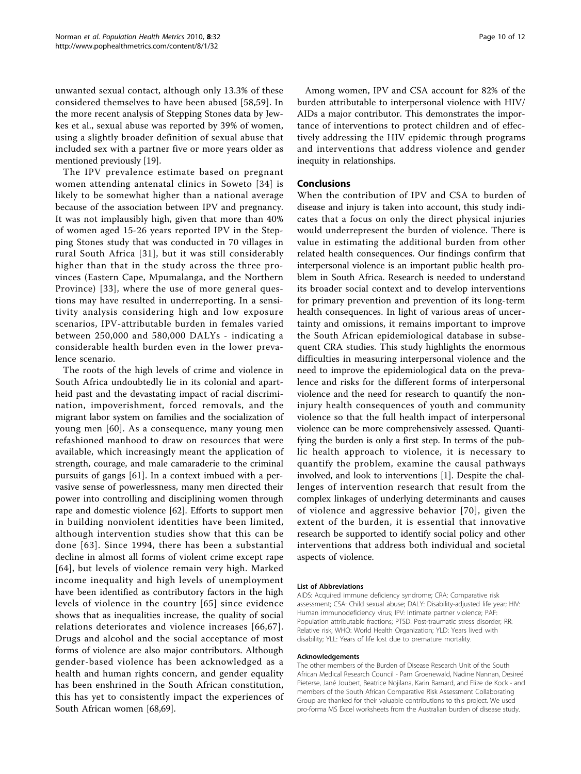unwanted sexual contact, although only 13.3% of these considered themselves to have been abused [[58](#page-11-0),[59\]](#page-11-0). In the more recent analysis of Stepping Stones data by Jewkes et al., sexual abuse was reported by 39% of women, using a slightly broader definition of sexual abuse that included sex with a partner five or more years older as mentioned previously [\[19\]](#page-10-0).

The IPV prevalence estimate based on pregnant women attending antenatal clinics in Soweto [[34\]](#page-11-0) is likely to be somewhat higher than a national average because of the association between IPV and pregnancy. It was not implausibly high, given that more than 40% of women aged 15-26 years reported IPV in the Stepping Stones study that was conducted in 70 villages in rural South Africa [[31\]](#page-10-0), but it was still considerably higher than that in the study across the three provinces (Eastern Cape, Mpumalanga, and the Northern Province) [[33](#page-11-0)], where the use of more general questions may have resulted in underreporting. In a sensitivity analysis considering high and low exposure scenarios, IPV-attributable burden in females varied between 250,000 and 580,000 DALYs - indicating a considerable health burden even in the lower prevalence scenario.

The roots of the high levels of crime and violence in South Africa undoubtedly lie in its colonial and apartheid past and the devastating impact of racial discrimination, impoverishment, forced removals, and the migrant labor system on families and the socialization of young men [[60](#page-11-0)]. As a consequence, many young men refashioned manhood to draw on resources that were available, which increasingly meant the application of strength, courage, and male camaraderie to the criminal pursuits of gangs [\[61](#page-11-0)]. In a context imbued with a pervasive sense of powerlessness, many men directed their power into controlling and disciplining women through rape and domestic violence [[62\]](#page-11-0). Efforts to support men in building nonviolent identities have been limited, although intervention studies show that this can be done [[63\]](#page-11-0). Since 1994, there has been a substantial decline in almost all forms of violent crime except rape [[64\]](#page-11-0), but levels of violence remain very high. Marked income inequality and high levels of unemployment have been identified as contributory factors in the high levels of violence in the country [[65](#page-11-0)] since evidence shows that as inequalities increase, the quality of social relations deteriorates and violence increases [[66,67\]](#page-11-0). Drugs and alcohol and the social acceptance of most forms of violence are also major contributors. Although gender-based violence has been acknowledged as a health and human rights concern, and gender equality has been enshrined in the South African constitution, this has yet to consistently impact the experiences of South African women [\[68,69\]](#page-11-0).

Among women, IPV and CSA account for 82% of the burden attributable to interpersonal violence with HIV/ AIDs a major contributor. This demonstrates the importance of interventions to protect children and of effectively addressing the HIV epidemic through programs and interventions that address violence and gender inequity in relationships.

# Conclusions

When the contribution of IPV and CSA to burden of disease and injury is taken into account, this study indicates that a focus on only the direct physical injuries would underrepresent the burden of violence. There is value in estimating the additional burden from other related health consequences. Our findings confirm that interpersonal violence is an important public health problem in South Africa. Research is needed to understand its broader social context and to develop interventions for primary prevention and prevention of its long-term health consequences. In light of various areas of uncertainty and omissions, it remains important to improve the South African epidemiological database in subsequent CRA studies. This study highlights the enormous difficulties in measuring interpersonal violence and the need to improve the epidemiological data on the prevalence and risks for the different forms of interpersonal violence and the need for research to quantify the noninjury health consequences of youth and community violence so that the full health impact of interpersonal violence can be more comprehensively assessed. Quantifying the burden is only a first step. In terms of the public health approach to violence, it is necessary to quantify the problem, examine the causal pathways involved, and look to interventions [[1\]](#page-10-0). Despite the challenges of intervention research that result from the complex linkages of underlying determinants and causes of violence and aggressive behavior [[70](#page-11-0)], given the extent of the burden, it is essential that innovative research be supported to identify social policy and other interventions that address both individual and societal aspects of violence.

#### List of Abbreviations

AIDS: Acquired immune deficiency syndrome; CRA: Comparative risk assessment; CSA: Child sexual abuse; DALY: Disability-adjusted life year; HIV: Human immunodeficiency virus; IPV: Intimate partner violence; PAF: Population attributable fractions; PTSD: Post-traumatic stress disorder; RR: Relative risk; WHO: World Health Organization; YLD: Years lived with disability; YLL: Years of life lost due to premature mortality.

#### Acknowledgements

The other members of the Burden of Disease Research Unit of the South African Medical Research Council - Pam Groenewald, Nadine Nannan, Desireé Pieterse, Jané Joubert, Beatrice Nojilana, Karin Barnard, and Elize de Kock - and members of the South African Comparative Risk Assessment Collaborating Group are thanked for their valuable contributions to this project. We used pro-forma MS Excel worksheets from the Australian burden of disease study.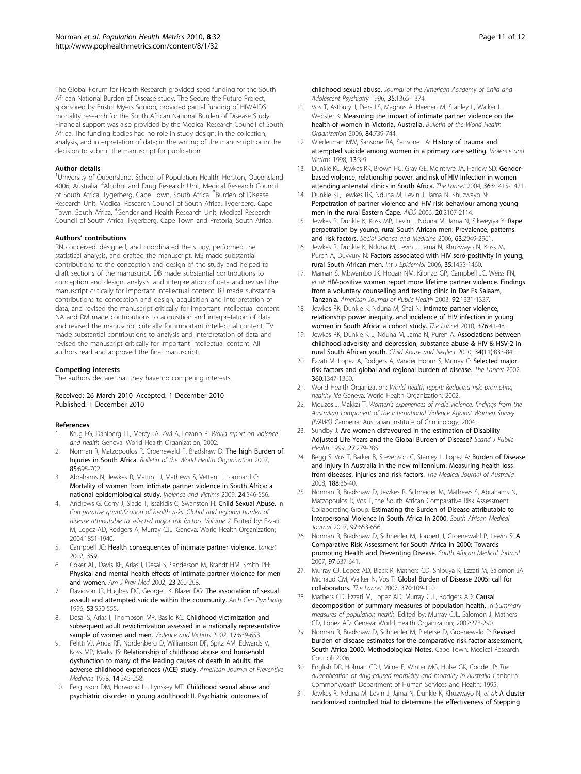<span id="page-10-0"></span>The Global Forum for Health Research provided seed funding for the South African National Burden of Disease study. The Secure the Future Project, sponsored by Bristol Myers Squibb, provided partial funding of HIV/AIDS mortality research for the South African National Burden of Disease Study. Financial support was also provided by the Medical Research Council of South Africa. The funding bodies had no role in study design; in the collection, analysis, and interpretation of data; in the writing of the manuscript; or in the decision to submit the manuscript for publication.

#### Author details

<sup>1</sup>University of Queensland, School of Population Health, Herston, Queensland 4006, Australia. <sup>2</sup>Alcohol and Drug Research Unit, Medical Research Council of South Africa, Tygerberg, Cape Town, South Africa. <sup>3</sup>Burden of Disease Research Unit, Medical Research Council of South Africa, Tygerberg, Cape Town, South Africa. <sup>4</sup>Gender and Health Research Unit, Medical Research Council of South Africa, Tygerberg, Cape Town and Pretoria, South Africa.

#### Authors' contributions

RN conceived, designed, and coordinated the study, performed the statistical analysis, and drafted the manuscript. MS made substantial contributions to the conception and design of the study and helped to draft sections of the manuscript. DB made substantial contributions to conception and design, analysis, and interpretation of data and revised the manuscript critically for important intellectual content. RJ made substantial contributions to conception and design, acquisition and interpretation of data, and revised the manuscript critically for important intellectual content. NA and RM made contributions to acquisition and interpretation of data and revised the manuscript critically for important intellectual content. TV made substantial contributions to analysis and interpretation of data and revised the manuscript critically for important intellectual content. All authors read and approved the final manuscript.

#### Competing interests

The authors declare that they have no competing interests.

#### Received: 26 March 2010 Accepted: 1 December 2010 Published: 1 December 2010

#### References

- 1. Krug EG, Dahlberg LL, Mercy JA, Zwi A, Lozano R: World report on violence and health Geneva: World Health Organization; 2002.
- Norman R, Matzopoulos R, Groenewald P, Bradshaw D: [The high Burden of](http://www.ncbi.nlm.nih.gov/pubmed/18026626?dopt=Abstract) [Injuries in South Africa.](http://www.ncbi.nlm.nih.gov/pubmed/18026626?dopt=Abstract) Bulletin of the World Health Organization 2007, 85:695-702.
- 3. Abrahams N, Jewkes R, Martin LJ, Mathews S, Vetten L, Lombard C: [Mortality of women from intimate partner violence in South Africa: a](http://www.ncbi.nlm.nih.gov/pubmed/19694357?dopt=Abstract) [national epidemiological study.](http://www.ncbi.nlm.nih.gov/pubmed/19694357?dopt=Abstract) Violence and Victims 2009, 24:546-556.
- Andrews G, Corry J, Slade T, Issakidis C, Swanston H: Child Sexual Abuse. In Comparative quantification of health risks: Global and regional burden of disease attributable to selected major risk factors. Volume 2. Edited by: Ezzati M, Lopez AD, Rodgers A, Murray CJL. Geneva: World Health Organization; 2004:1851-1940.
- 5. Campbell JC: [Health consequences of intimate partner violence.](http://www.ncbi.nlm.nih.gov/pubmed/11965295?dopt=Abstract) Lancet 2002, 359.
- Coker AL, Davis KE, Arias I, Desai S, Sanderson M, Brandt HM, Smith PH: [Physical and mental health effects of intimate partner violence for men](http://www.ncbi.nlm.nih.gov/pubmed/12406480?dopt=Abstract) [and women.](http://www.ncbi.nlm.nih.gov/pubmed/12406480?dopt=Abstract) Am J Prev Med 2002, 23:260-268.
- 7. Davidson JR, Hughes DC, George LK, Blazer DG: [The association of sexual](http://www.ncbi.nlm.nih.gov/pubmed/8639039?dopt=Abstract) [assault and attempted suicide within the community.](http://www.ncbi.nlm.nih.gov/pubmed/8639039?dopt=Abstract) Arch Gen Psychiatry 1996, 53:550-555.
- 8. Desai S, Arias I, Thompson MP, Basile KC: [Childhood victimization and](http://www.ncbi.nlm.nih.gov/pubmed/12680680?dopt=Abstract) [subsequent adult revictimization assessed in a nationally representative](http://www.ncbi.nlm.nih.gov/pubmed/12680680?dopt=Abstract) [sample of women and men.](http://www.ncbi.nlm.nih.gov/pubmed/12680680?dopt=Abstract) Violence and Victims 2002, 17:639-653.
- 9. Felitti VJ, Anda RF, Nordenberg D, Williamson DF, Spitz AM, Edwards V, Koss MP, Marks JS: [Relationship of childhood abuse and household](http://www.ncbi.nlm.nih.gov/pubmed/9635069?dopt=Abstract) [dysfunction to many of the leading causes of death in adults: the](http://www.ncbi.nlm.nih.gov/pubmed/9635069?dopt=Abstract) [adverse childhood experiences \(ACE\) study.](http://www.ncbi.nlm.nih.gov/pubmed/9635069?dopt=Abstract) American Journal of Preventive Medicine 1998, 14:245-258.
- 10. Fergusson DM, Horwood LJ, Lynskey MT: [Childhood sexual abuse and](http://www.ncbi.nlm.nih.gov/pubmed/8885591?dopt=Abstract) [psychiatric disorder in young adulthood: II. Psychiatric outcomes of](http://www.ncbi.nlm.nih.gov/pubmed/8885591?dopt=Abstract)

[childhood sexual abuse.](http://www.ncbi.nlm.nih.gov/pubmed/8885591?dopt=Abstract) Journal of the American Academy of Child and Adolescent Psychiatry 1996, 35:1365-1374.

- 11. Vos T, Astbury J, Piers LS, Magnus A, Heenen M, Stanley L, Walker L, Webster K: [Measuring the impact of intimate partner violence on the](http://www.ncbi.nlm.nih.gov/pubmed/17128344?dopt=Abstract) [health of women in Victoria, Australia.](http://www.ncbi.nlm.nih.gov/pubmed/17128344?dopt=Abstract) Bulletin of the World Health Organization 2006, 84:739-744.
- 12. Wiederman MW, Sansone RA, Sansone LA: [History of trauma and](http://www.ncbi.nlm.nih.gov/pubmed/9650241?dopt=Abstract) [attempted suicide among women in a primary care setting.](http://www.ncbi.nlm.nih.gov/pubmed/9650241?dopt=Abstract) Violence and Victims 1998, 13:3-9.
- 13. Dunkle KL, Jewkes RK, Brown HC, Gray GE, McIntryre JA, Harlow SD: Genderbased violence, relationship power, and risk of HIV Infection in women attending antenatal clinics in South Africa. The Lancet 2004, 363:1415-1421.
- 14. Dunkle KL, Jewkes RK, Nduna M, Levin J, Jama N, Khuzwayo N: [Perpetration of partner violence and HIV risk behaviour among young](http://www.ncbi.nlm.nih.gov/pubmed/17053357?dopt=Abstract) [men in the rural Eastern Cape.](http://www.ncbi.nlm.nih.gov/pubmed/17053357?dopt=Abstract) AIDS 2006, 20:2107-2114.
- 15. Jewkes R, Dunkle K, Koss MP, Levin J, Nduna M, Jama N, Sikweyiya Y: [Rape](http://www.ncbi.nlm.nih.gov/pubmed/16962222?dopt=Abstract) [perpetration by young, rural South African men: Prevalence, patterns](http://www.ncbi.nlm.nih.gov/pubmed/16962222?dopt=Abstract) [and risk factors.](http://www.ncbi.nlm.nih.gov/pubmed/16962222?dopt=Abstract) Social Science and Medicine 2006, 63:2949-2961.
- 16. Jewkes R, Dunkle K, Nduna M, Levin J, Jama N, Khuzwayo N, Koss M, Puren A, Duvvury N: [Factors associated with HIV sero-positivity in young,](http://www.ncbi.nlm.nih.gov/pubmed/17030525?dopt=Abstract) [rural South African men.](http://www.ncbi.nlm.nih.gov/pubmed/17030525?dopt=Abstract) Int J Epidemiol 2006, 35:1455-1460.
- 17. Maman S, Mbwambo JK, Hogan NM, Kilonzo GP, Campbell JC, Weiss FN, et al: HIV-positive women report more lifetime partner violence. Findings from a voluntary counselling and testing clinic in Dar Es Salaam, Tanzania. American Journal of Public Health 2003, 92:1331-1337.
- 18. Jewkes RK, Dunkle K, Nduna M, Shai N: Intimate partner violence, relationship power inequity, and incidence of HIV infection in young women in South Africa: a cohort study. The Lancet 2010, 376:41-48.
- 19. Jewkes RK, Dunkle K L, Nduna M, Jama N, Puren A: [Associations between](http://www.ncbi.nlm.nih.gov/pubmed/20943270?dopt=Abstract) [childhood adversity and depression, substance abuse & HIV & HSV-2 in](http://www.ncbi.nlm.nih.gov/pubmed/20943270?dopt=Abstract) [rural South African youth.](http://www.ncbi.nlm.nih.gov/pubmed/20943270?dopt=Abstract) Child Abuse and Neglect 2010, 34(11):833-841.
- 20. Ezzati M, Lopez A, Rodgers A, Vander Hoorn S, Murray C: Selected major risk factors and global and regional burden of disease. The Lancet 2002, 360:1347-1360.
- 21. World Health Organization: World health report: Reducing risk, promoting healthy life Geneva: World Health Organization; 2002.
- 22. Mouzos J, Makkai T: Women's experiences of male violence, findings from the Australian component of the International Violence Against Women Survey (IVAWS) Canberra: Australian Institute of Criminology; 2004.
- 23. Sundby J: [Are women disfavoured in the estimation of Disability](http://www.ncbi.nlm.nih.gov/pubmed/10724471?dopt=Abstract) [Adjusted Life Years and the Global Burden of Disease?](http://www.ncbi.nlm.nih.gov/pubmed/10724471?dopt=Abstract) Scand J Public Health 1999, 27:279-285.
- 24. Begg S, Vos T, Barker B, Stevenson C, Stanley L, Lopez A: [Burden of Disease](http://www.ncbi.nlm.nih.gov/pubmed/18205562?dopt=Abstract) [and Injury in Australia in the new millennium: Measuring health loss](http://www.ncbi.nlm.nih.gov/pubmed/18205562?dopt=Abstract) [from diseases, injuries and risk factors.](http://www.ncbi.nlm.nih.gov/pubmed/18205562?dopt=Abstract) The Medical Journal of Australia 2008, 188:36-40.
- 25. Norman R, Bradshaw D, Jewkes R, Schneider M, Mathews S, Abrahams N, Matzopoulos R, Vos T, the South African Comparative Risk Assessment Collaborating Group: [Estimating the Burden of Disease attributable to](http://www.ncbi.nlm.nih.gov/pubmed/17957838?dopt=Abstract) [Interpersonal Violence in South Africa in 2000.](http://www.ncbi.nlm.nih.gov/pubmed/17957838?dopt=Abstract) South African Medical Journal 2007, 97:653-656.
- 26. Norman R, Bradshaw D, Schneider M, Joubert J, Groenewald P, Lewin S: [A](http://www.ncbi.nlm.nih.gov/pubmed/17952221?dopt=Abstract) [Comparative Risk Assessment for South Africa in 2000: Towards](http://www.ncbi.nlm.nih.gov/pubmed/17952221?dopt=Abstract) [promoting Health and Preventing Disease.](http://www.ncbi.nlm.nih.gov/pubmed/17952221?dopt=Abstract) South African Medical Journal 2007, 97:637-641.
- 27. Murray CJ, Lopez AD, Black R, Mathers CD, Shibuya K, Ezzati M, Salomon JA, Michaud CM, Walker N, Vos T: Global Burden of Disease 2005: call for collaborators. The Lancet 2007, 370:109-110.
- 28. Mathers CD, Ezzati M, Lopez AD, Murray CJL, Rodgers AD: Causal decomposition of summary measures of population health. In Summary measures of population health. Edited by: Murray CJL, Salomon J, Mathers CD, Lopez AD. Geneva: World Health Organization; 2002:273-290.
- 29. Norman R, Bradshaw D, Schneider M, Pieterse D, Groenewald P: Revised burden of disease estimates for the comparative risk factor assessment, South Africa 2000. Methodological Notes. Cape Town: Medical Research Council; 2006.
- 30. English DR, Holman CDJ, Milne E, Winter MG, Hulse GK, Codde JP: The quantification of drug-caused morbidity and mortality in Australia Canberra: Commonwealth Department of Human Services and Health; 1995.
- 31. Jewkes R, Nduna M, Levin J, Jama N, Dunkle K, Khuzwayo N, et al: [A cluster](http://www.ncbi.nlm.nih.gov/pubmed/16398750?dopt=Abstract) [randomized controlled trial to determine the effectiveness of Stepping](http://www.ncbi.nlm.nih.gov/pubmed/16398750?dopt=Abstract)